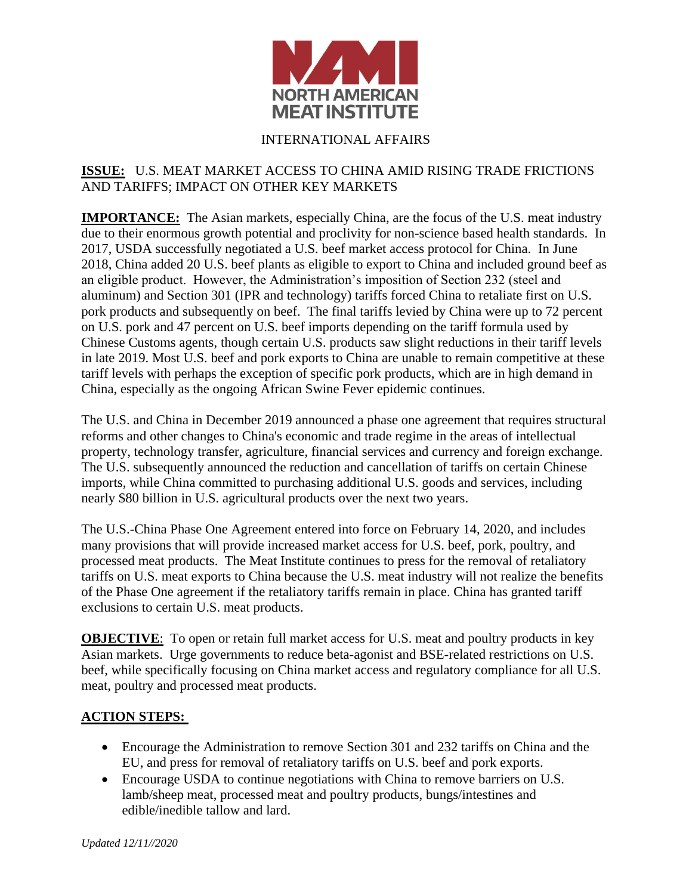

## INTERNATIONAL AFFAIRS

## **ISSUE:** U.S. MEAT MARKET ACCESS TO CHINA AMID RISING TRADE FRICTIONS AND TARIFFS; IMPACT ON OTHER KEY MARKETS

**IMPORTANCE:** The Asian markets, especially China, are the focus of the U.S. meat industry due to their enormous growth potential and proclivity for non-science based health standards. In 2017, USDA successfully negotiated a U.S. beef market access protocol for China. In June 2018, China added 20 U.S. beef plants as eligible to export to China and included ground beef as an eligible product. However, the Administration's imposition of Section 232 (steel and aluminum) and Section 301 (IPR and technology) tariffs forced China to retaliate first on U.S. pork products and subsequently on beef. The final tariffs levied by China were up to 72 percent on U.S. pork and 47 percent on U.S. beef imports depending on the tariff formula used by Chinese Customs agents, though certain U.S. products saw slight reductions in their tariff levels in late 2019. Most U.S. beef and pork exports to China are unable to remain competitive at these tariff levels with perhaps the exception of specific pork products, which are in high demand in China, especially as the ongoing African Swine Fever epidemic continues.

The U.S. and China in December 2019 announced a phase one agreement that requires structural reforms and other changes to China's economic and trade regime in the areas of intellectual property, technology transfer, agriculture, financial services and currency and foreign exchange. The U.S. subsequently announced the reduction and cancellation of tariffs on certain Chinese imports, while China committed to purchasing additional U.S. goods and services, including nearly \$80 billion in U.S. agricultural products over the next two years.

The U.S.-China Phase One Agreement entered into force on February 14, 2020, and includes many provisions that will provide increased market access for U.S. beef, pork, poultry, and processed meat products. The Meat Institute continues to press for the removal of retaliatory tariffs on U.S. meat exports to China because the U.S. meat industry will not realize the benefits of the Phase One agreement if the retaliatory tariffs remain in place. China has granted tariff exclusions to certain U.S. meat products.

**OBJECTIVE:** To open or retain full market access for U.S. meat and poultry products in key Asian markets. Urge governments to reduce beta-agonist and BSE-related restrictions on U.S. beef, while specifically focusing on China market access and regulatory compliance for all U.S. meat, poultry and processed meat products.

## **ACTION STEPS:**

- Encourage the Administration to remove Section 301 and 232 tariffs on China and the EU, and press for removal of retaliatory tariffs on U.S. beef and pork exports.
- Encourage USDA to continue negotiations with China to remove barriers on U.S. lamb/sheep meat, processed meat and poultry products, bungs/intestines and edible/inedible tallow and lard.